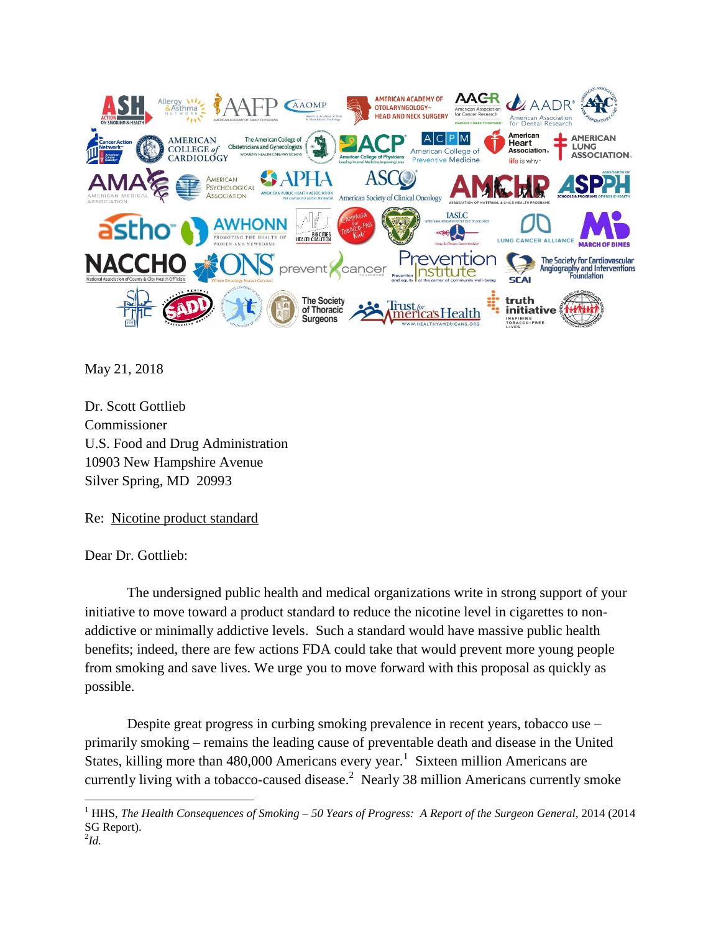

May 21, 2018

Dr. Scott Gottlieb Commissioner U.S. Food and Drug Administration 10903 New Hampshire Avenue Silver Spring, MD 20993

Re: Nicotine product standard

Dear Dr. Gottlieb:

The undersigned public health and medical organizations write in strong support of your initiative to move toward a product standard to reduce the nicotine level in cigarettes to nonaddictive or minimally addictive levels. Such a standard would have massive public health benefits; indeed, there are few actions FDA could take that would prevent more young people from smoking and save lives. We urge you to move forward with this proposal as quickly as possible.

Despite great progress in curbing smoking prevalence in recent years, tobacco use – primarily smoking – remains the leading cause of preventable death and disease in the United States, killing more than  $480,000$  Americans every year.<sup>1</sup> Sixteen million Americans are currently living with a tobacco-caused disease. $^2$  Nearly 38 million Americans currently smoke

 $\overline{a}$ 

<sup>1</sup> HHS, *The Health Consequences of Smoking – 50 Years of Progress: A Report of the Surgeon General,* 2014 (2014 SG Report).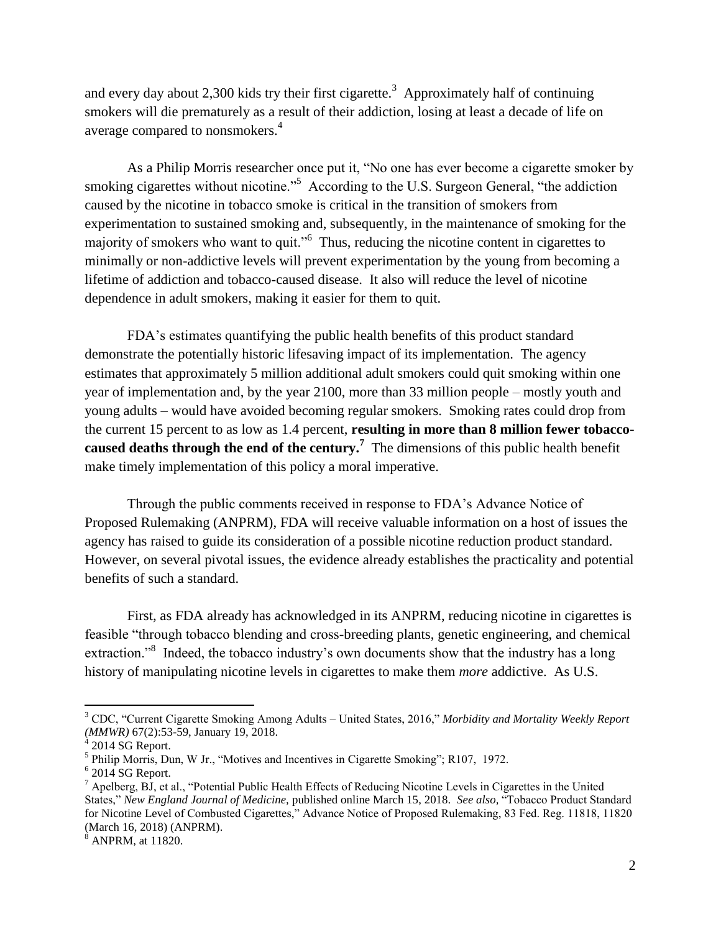and every day about 2,300 kids try their first cigarette.<sup>3</sup> Approximately half of continuing smokers will die prematurely as a result of their addiction, losing at least a decade of life on average compared to nonsmokers.<sup>4</sup>

As a Philip Morris researcher once put it, "No one has ever become a cigarette smoker by smoking cigarettes without nicotine."<sup>5</sup> According to the U.S. Surgeon General, "the addiction caused by the nicotine in tobacco smoke is critical in the transition of smokers from experimentation to sustained smoking and, subsequently, in the maintenance of smoking for the majority of smokers who want to quit."<sup>6</sup> Thus, reducing the nicotine content in cigarettes to minimally or non-addictive levels will prevent experimentation by the young from becoming a lifetime of addiction and tobacco-caused disease. It also will reduce the level of nicotine dependence in adult smokers, making it easier for them to quit.

FDA's estimates quantifying the public health benefits of this product standard demonstrate the potentially historic lifesaving impact of its implementation. The agency estimates that approximately 5 million additional adult smokers could quit smoking within one year of implementation and, by the year 2100, more than 33 million people – mostly youth and young adults – would have avoided becoming regular smokers. Smoking rates could drop from the current 15 percent to as low as 1.4 percent, **resulting in more than 8 million fewer tobaccocaused deaths through the end of the century.<sup>7</sup> The dimensions of this public health benefit** make timely implementation of this policy a moral imperative.

Through the public comments received in response to FDA's Advance Notice of Proposed Rulemaking (ANPRM), FDA will receive valuable information on a host of issues the agency has raised to guide its consideration of a possible nicotine reduction product standard. However, on several pivotal issues, the evidence already establishes the practicality and potential benefits of such a standard.

First, as FDA already has acknowledged in its ANPRM, reducing nicotine in cigarettes is feasible "through tobacco blending and cross-breeding plants, genetic engineering, and chemical extraction."<sup>8</sup> Indeed, the tobacco industry's own documents show that the industry has a long history of manipulating nicotine levels in cigarettes to make them *more* addictive. As U.S.

 $\overline{a}$ 

<sup>8</sup> ANPRM, at 11820.

<sup>3</sup> CDC, "Current Cigarette Smoking Among Adults – United States, 2016," *Morbidity and Mortality Weekly Report (MMWR)* 67(2):53-59, January 19, 2018. 4 2014 SG Report.

<sup>&</sup>lt;sup>5</sup> Philip Morris, Dun, W Jr., "Motives and Incentives in Cigarette Smoking"; R107, 1972.

 $6$  2014 SG Report.

<sup>7</sup> Apelberg, BJ, et al., "Potential Public Health Effects of Reducing Nicotine Levels in Cigarettes in the United States," *New England Journal of Medicine,* published online March 15, 2018. *See also,* "Tobacco Product Standard for Nicotine Level of Combusted Cigarettes," Advance Notice of Proposed Rulemaking, 83 Fed. Reg. 11818, 11820 (March 16, 2018) (ANPRM).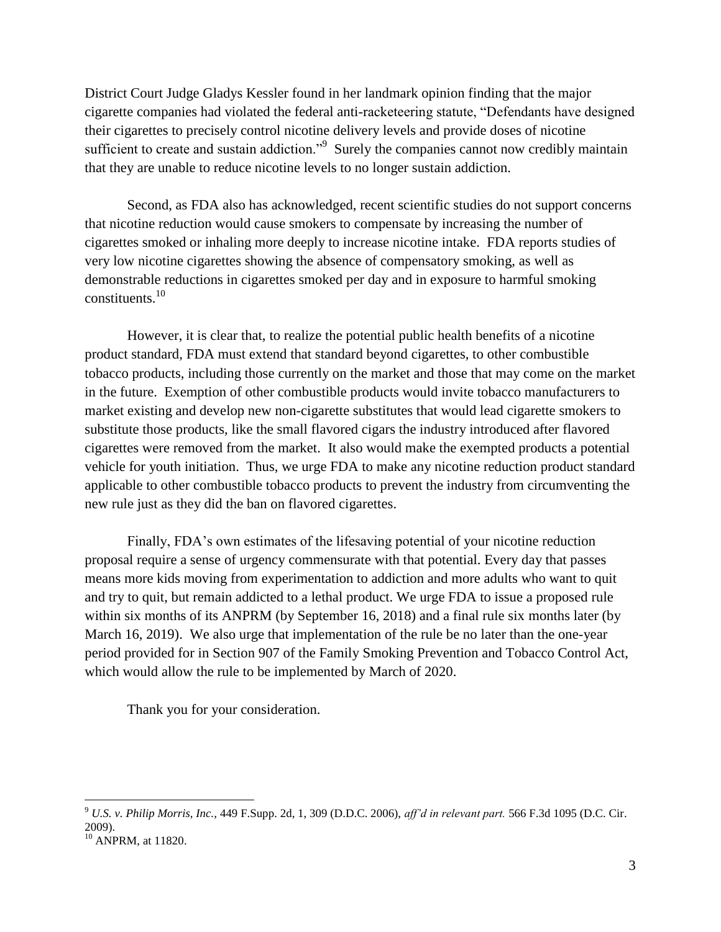District Court Judge Gladys Kessler found in her landmark opinion finding that the major cigarette companies had violated the federal anti-racketeering statute, "Defendants have designed their cigarettes to precisely control nicotine delivery levels and provide doses of nicotine sufficient to create and sustain addiction."<sup>9</sup> Surely the companies cannot now credibly maintain that they are unable to reduce nicotine levels to no longer sustain addiction.

Second, as FDA also has acknowledged, recent scientific studies do not support concerns that nicotine reduction would cause smokers to compensate by increasing the number of cigarettes smoked or inhaling more deeply to increase nicotine intake. FDA reports studies of very low nicotine cigarettes showing the absence of compensatory smoking, as well as demonstrable reductions in cigarettes smoked per day and in exposure to harmful smoking constituents.<sup>10</sup>

However, it is clear that, to realize the potential public health benefits of a nicotine product standard, FDA must extend that standard beyond cigarettes, to other combustible tobacco products, including those currently on the market and those that may come on the market in the future. Exemption of other combustible products would invite tobacco manufacturers to market existing and develop new non-cigarette substitutes that would lead cigarette smokers to substitute those products, like the small flavored cigars the industry introduced after flavored cigarettes were removed from the market. It also would make the exempted products a potential vehicle for youth initiation. Thus, we urge FDA to make any nicotine reduction product standard applicable to other combustible tobacco products to prevent the industry from circumventing the new rule just as they did the ban on flavored cigarettes.

Finally, FDA's own estimates of the lifesaving potential of your nicotine reduction proposal require a sense of urgency commensurate with that potential. Every day that passes means more kids moving from experimentation to addiction and more adults who want to quit and try to quit, but remain addicted to a lethal product. We urge FDA to issue a proposed rule within six months of its ANPRM (by September 16, 2018) and a final rule six months later (by March 16, 2019). We also urge that implementation of the rule be no later than the one-year period provided for in Section 907 of the Family Smoking Prevention and Tobacco Control Act, which would allow the rule to be implemented by March of 2020.

Thank you for your consideration.

 $\overline{a}$ 

<sup>9</sup> *U.S. v. Philip Morris, Inc.,* 449 F.Supp. 2d, 1, 309 (D.D.C. 2006), *aff'd in relevant part.* 566 F.3d 1095 (D.C. Cir. 2009).

<sup>&</sup>lt;sup>10</sup> ANPRM, at 11820.